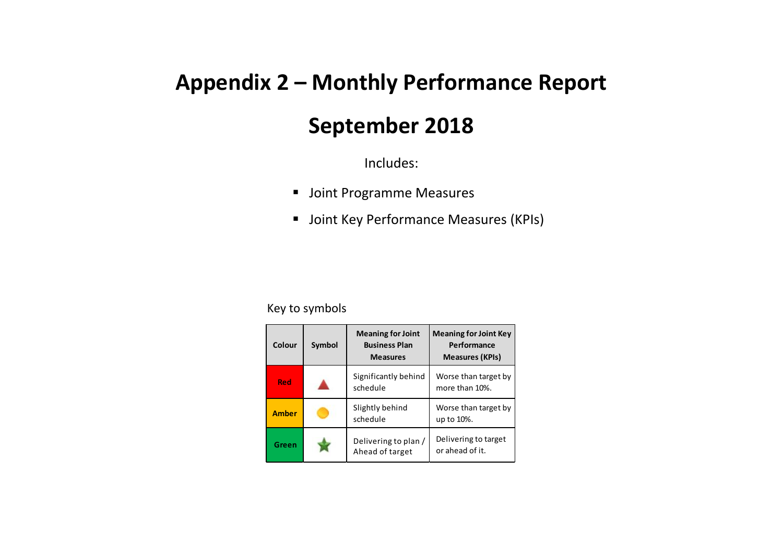## **Appendix 2 – Monthly Performance Report**

## **September 2018**

Includes:

- Joint Programme Measures
- **Joint Key Performance Measures (KPIs)**

## Key to symbols

| Colour       | Symbol | <b>Meaning for Joint</b><br><b>Business Plan</b><br><b>Measures</b> | <b>Meaning for Joint Key</b><br>Performance<br><b>Measures (KPIs)</b> |
|--------------|--------|---------------------------------------------------------------------|-----------------------------------------------------------------------|
| Red          |        | Significantly behind<br>schedule                                    | Worse than target by<br>more than 10%.                                |
| <b>Amber</b> |        | Slightly behind<br>schedule                                         | Worse than target by<br>up to 10%.                                    |
| Green        |        | Delivering to plan /<br>Ahead of target                             | Delivering to target<br>or ahead of it.                               |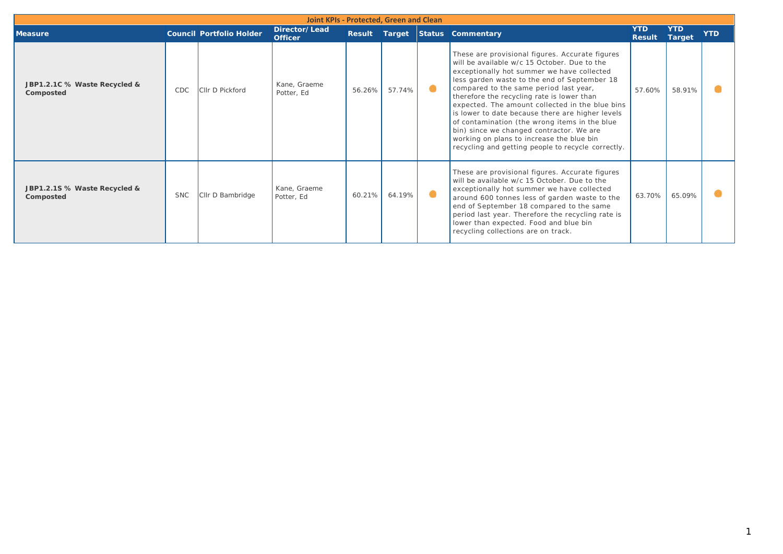| Joint KPIs - Protected, Green and Clean   |            |                                 |                                 |        |        |   |                                                                                                                                                                                                                                                                                                                                                                                                                                                                                                                                                                                              |                             |                      |            |  |
|-------------------------------------------|------------|---------------------------------|---------------------------------|--------|--------|---|----------------------------------------------------------------------------------------------------------------------------------------------------------------------------------------------------------------------------------------------------------------------------------------------------------------------------------------------------------------------------------------------------------------------------------------------------------------------------------------------------------------------------------------------------------------------------------------------|-----------------------------|----------------------|------------|--|
| <b>Measure</b>                            |            | <b>Council Portfolio Holder</b> | Director/Lead<br><b>Officer</b> | Result |        |   | <b>Target Status Commentary</b>                                                                                                                                                                                                                                                                                                                                                                                                                                                                                                                                                              | <b>YTD</b><br><b>Result</b> | <b>YTD</b><br>Target | <b>YTD</b> |  |
| JBP1.2.1C % Waste Recycled &<br>Composted | CDC        | Cllr D Pickford                 | Kane, Graeme<br>Potter, Ed      | 56.26% | 57.74% | ۰ | These are provisional figures. Accurate figures<br>will be available w/c 15 October. Due to the<br>exceptionally hot summer we have collected<br>less garden waste to the end of September 18<br>compared to the same period last year,<br>therefore the recycling rate is lower than<br>expected. The amount collected in the blue bins<br>is lower to date because there are higher levels<br>of contamination (the wrong items in the blue<br>bin) since we changed contractor. We are<br>working on plans to increase the blue bin<br>recycling and getting people to recycle correctly. | 57.60%                      | 58.91%               |            |  |
| JBP1.2.1S % Waste Recycled &<br>Composted | <b>SNC</b> | Cllr D Bambridge                | Kane, Graeme<br>Potter, Ed      | 60.21% | 64.19% | ◉ | These are provisional figures. Accurate figures<br>will be available w/c 15 October. Due to the<br>exceptionally hot summer we have collected<br>around 600 tonnes less of garden waste to the<br>end of September 18 compared to the same<br>period last year. Therefore the recycling rate is<br>lower than expected. Food and blue bin<br>recycling collections are on track.                                                                                                                                                                                                             | 63.70%                      | 65.09%               |            |  |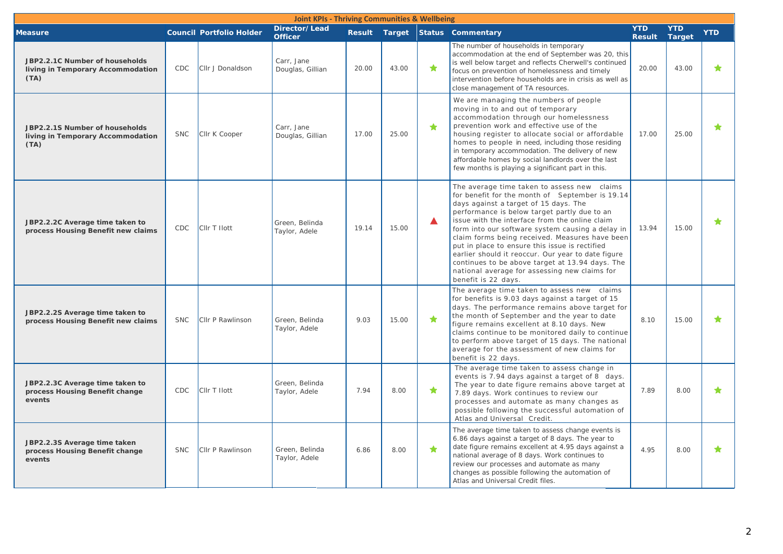| <b>Joint KPIs - Thriving Communities &amp; Wellbeing</b>                    |            |                                 |                                 |       |       |                        |                                                                                                                                                                                                                                                                                                                                                                                                                                                                                                                                                                                    |                             |                             |            |
|-----------------------------------------------------------------------------|------------|---------------------------------|---------------------------------|-------|-------|------------------------|------------------------------------------------------------------------------------------------------------------------------------------------------------------------------------------------------------------------------------------------------------------------------------------------------------------------------------------------------------------------------------------------------------------------------------------------------------------------------------------------------------------------------------------------------------------------------------|-----------------------------|-----------------------------|------------|
| <b>Measure</b>                                                              |            | <b>Council Portfolio Holder</b> | Director/Lead<br><b>Officer</b> |       |       |                        | Result Target Status Commentary                                                                                                                                                                                                                                                                                                                                                                                                                                                                                                                                                    | <b>YTD</b><br><b>Result</b> | <b>YTD</b><br><b>Target</b> | <b>YTD</b> |
| JBP2.2.1C Number of households<br>living in Temporary Accommodation<br>(TA) | CDC        | Cllr J Donaldson                | Carr, Jane<br>Douglas, Gillian  | 20.00 | 43.00 | ★                      | The number of households in temporary<br>accommodation at the end of September was 20, this<br>is well below target and reflects Cherwell's continued<br>focus on prevention of homelessness and timely<br>intervention before households are in crisis as well as<br>close management of TA resources.                                                                                                                                                                                                                                                                            | 20.00                       | 43.00                       | ★          |
| JBP2.2.1S Number of households<br>living in Temporary Accommodation<br>(TA) | <b>SNC</b> | Cllr K Cooper                   | Carr, Jane<br>Douglas, Gillian  | 17.00 | 25.00 | ★                      | We are managing the numbers of people<br>moving in to and out of temporary<br>accommodation through our homelessness<br>prevention work and effective use of the<br>housing register to allocate social or affordable<br>homes to people in need, including those residing<br>in temporary accommodation. The delivery of new<br>affordable homes by social landlords over the last<br>few months is playing a significant part in this.                                                                                                                                           | 17.00                       | 25.00                       | ★          |
| JBP2.2.2C Average time taken to<br>process Housing Benefit new claims       | CDC        | CIIr T Ilott                    | Green, Belinda<br>Taylor, Adele | 19.14 | 15.00 | ▲                      | The average time taken to assess new claims<br>for benefit for the month of September is 19.14<br>days against a target of 15 days. The<br>performance is below target partly due to an<br>issue with the interface from the online claim<br>form into our software system causing a delay in<br>claim forms being received. Measures have been<br>put in place to ensure this issue is rectified<br>earlier should it reoccur. Our year to date figure<br>continues to be above target at 13.94 days. The<br>national average for assessing new claims for<br>benefit is 22 days. | 13.94                       | 15.00                       |            |
| JBP2.2.2S Average time taken to<br>process Housing Benefit new claims       | <b>SNC</b> | Cllr P Rawlinson                | Green, Belinda<br>Taylor, Adele | 9.03  | 15.00 | $\color{red} \bigstar$ | The average time taken to assess new claims<br>for benefits is 9.03 days against a target of 15<br>days. The performance remains above target for<br>the month of September and the year to date<br>figure remains excellent at 8.10 days. New<br>claims continue to be monitored daily to continue<br>to perform above target of 15 days. The national<br>average for the assessment of new claims for<br>benefit is 22 days.                                                                                                                                                     | 8.10                        | 15.00                       |            |
| JBP2.2.3C Average time taken to<br>process Housing Benefit change<br>events | <b>CDC</b> | CIIr T Ilott                    | Green, Belinda<br>Taylor, Adele | 7.94  | 8.00  | $\bigstar$             | The average time taken to assess change in<br>events is 7.94 days against a target of 8 days.<br>The year to date figure remains above target at<br>7.89 days. Work continues to review our<br>processes and automate as many changes as<br>possible following the successful automation of<br>Atlas and Universal Credit.                                                                                                                                                                                                                                                         | 7.89                        | 8.00                        |            |
| JBP2.2.3S Average time taken<br>process Housing Benefit change<br>events    | <b>SNC</b> | Cllr P Rawlinson                | Green, Belinda<br>Taylor, Adele | 6.86  | 8.00  | ★                      | The average time taken to assess change events is<br>6.86 days against a target of 8 days. The year to<br>date figure remains excellent at 4.95 days against a<br>national average of 8 days. Work continues to<br>review our processes and automate as many<br>changes as possible following the automation of<br>Atlas and Universal Credit files.                                                                                                                                                                                                                               | 4.95                        | 8.00                        |            |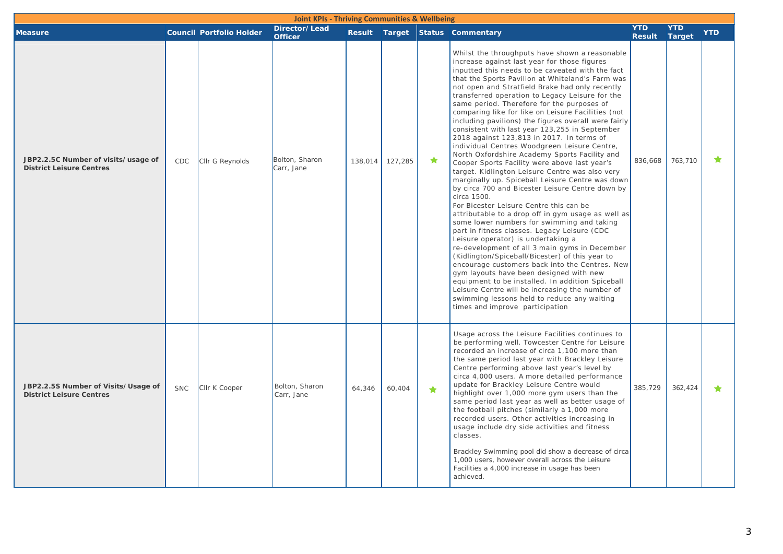| <b>Joint KPIs - Thriving Communities &amp; Wellbeing</b>               |            |                                 |                                 |         |         |            |                                                                                                                                                                                                                                                                                                                                                                                                                                                                                                                                                                                                                                                                                                                                                                                                                                                                                                                                                                                                                                                                                                                                                                                                                                                                                                                                                                                                                                                                                                                                    |                             |                             |            |
|------------------------------------------------------------------------|------------|---------------------------------|---------------------------------|---------|---------|------------|------------------------------------------------------------------------------------------------------------------------------------------------------------------------------------------------------------------------------------------------------------------------------------------------------------------------------------------------------------------------------------------------------------------------------------------------------------------------------------------------------------------------------------------------------------------------------------------------------------------------------------------------------------------------------------------------------------------------------------------------------------------------------------------------------------------------------------------------------------------------------------------------------------------------------------------------------------------------------------------------------------------------------------------------------------------------------------------------------------------------------------------------------------------------------------------------------------------------------------------------------------------------------------------------------------------------------------------------------------------------------------------------------------------------------------------------------------------------------------------------------------------------------------|-----------------------------|-----------------------------|------------|
| <b>Measure</b>                                                         |            | <b>Council Portfolio Holder</b> | Director/Lead<br><b>Officer</b> |         |         |            | Result Target Status Commentary                                                                                                                                                                                                                                                                                                                                                                                                                                                                                                                                                                                                                                                                                                                                                                                                                                                                                                                                                                                                                                                                                                                                                                                                                                                                                                                                                                                                                                                                                                    | <b>YTD</b><br><b>Result</b> | <b>YTD</b><br><b>Target</b> | <b>YTD</b> |
| JBP2.2.5C Number of visits/usage of<br><b>District Leisure Centres</b> | CDC        | Cllr G Reynolds                 | Bolton, Sharon<br>Carr, Jane    | 138,014 | 127,285 | ★          | Whilst the throughputs have shown a reasonable<br>increase against last year for those figures<br>inputted this needs to be caveated with the fact<br>that the Sports Pavilion at Whiteland's Farm was<br>not open and Stratfield Brake had only recently<br>transferred operation to Legacy Leisure for the<br>same period. Therefore for the purposes of<br>comparing like for like on Leisure Facilities (not<br>including pavilions) the figures overall were fairly<br>consistent with last year 123,255 in September<br>2018 against 123,813 in 2017. In terms of<br>individual Centres Woodgreen Leisure Centre,<br>North Oxfordshire Academy Sports Facility and<br>Cooper Sports Facility were above last year's<br>target. Kidlington Leisure Centre was also very<br>marginally up. Spiceball Leisure Centre was down<br>by circa 700 and Bicester Leisure Centre down by<br>circa 1500.<br>For Bicester Leisure Centre this can be<br>attributable to a drop off in gym usage as well as<br>some lower numbers for swimming and taking<br>part in fitness classes. Legacy Leisure (CDC<br>Leisure operator) is undertaking a<br>re-development of all 3 main gyms in December<br>(Kidlington/Spiceball/Bicester) of this year to<br>encourage customers back into the Centres. New<br>gym layouts have been designed with new<br>equipment to be installed. In addition Spiceball<br>Leisure Centre will be increasing the number of<br>swimming lessons held to reduce any waiting<br>times and improve participation | 836,668                     | 763,710                     |            |
| JBP2.2.5S Number of Visits/Usage of<br><b>District Leisure Centres</b> | <b>SNC</b> | Cllr K Cooper                   | Bolton, Sharon<br>Carr, Jane    | 64,346  | 60,404  | $\bigstar$ | Usage across the Leisure Facilities continues to<br>be performing well. Towcester Centre for Leisure<br>recorded an increase of circa 1,100 more than<br>the same period last year with Brackley Leisure<br>Centre performing above last year's level by<br>circa 4,000 users. A more detailed performance<br>update for Brackley Leisure Centre would<br>highlight over 1,000 more gym users than the<br>same period last year as well as better usage of<br>the football pitches (similarly a 1,000 more<br>recorded users. Other activities increasing in<br>usage include dry side activities and fitness<br>classes.<br>Brackley Swimming pool did show a decrease of circa<br>1,000 users, however overall across the Leisure<br>Facilities a 4,000 increase in usage has been<br>achieved.                                                                                                                                                                                                                                                                                                                                                                                                                                                                                                                                                                                                                                                                                                                                  | 385,729                     | 362,424                     |            |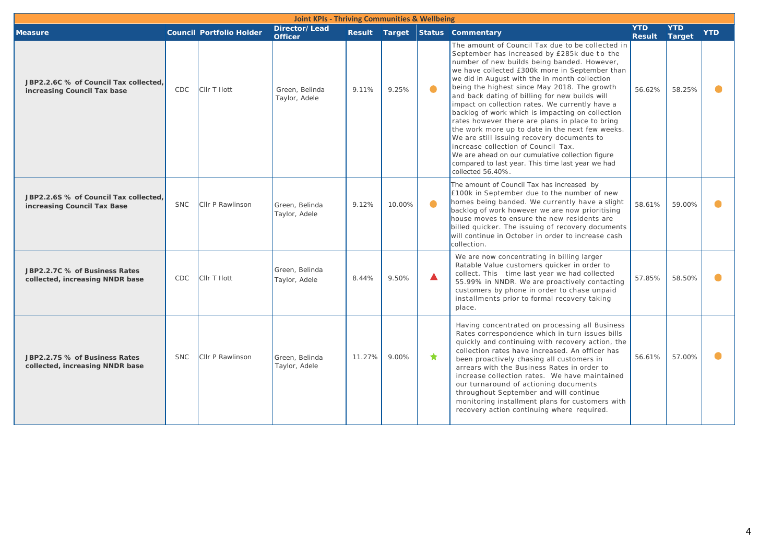|                                                                      | <b>Joint KPIs - Thriving Communities &amp; Wellbeing</b> |                                 |                                 |        |        |           |                                                                                                                                                                                                                                                                                                                                                                                                                                                                                                                                                                                                                                                                                                                                                                                     |                             |                      |            |  |
|----------------------------------------------------------------------|----------------------------------------------------------|---------------------------------|---------------------------------|--------|--------|-----------|-------------------------------------------------------------------------------------------------------------------------------------------------------------------------------------------------------------------------------------------------------------------------------------------------------------------------------------------------------------------------------------------------------------------------------------------------------------------------------------------------------------------------------------------------------------------------------------------------------------------------------------------------------------------------------------------------------------------------------------------------------------------------------------|-----------------------------|----------------------|------------|--|
| <b>Measure</b>                                                       |                                                          | <b>Council Portfolio Holder</b> | Director/Lead<br><b>Officer</b> |        |        |           | Result Target Status Commentary                                                                                                                                                                                                                                                                                                                                                                                                                                                                                                                                                                                                                                                                                                                                                     | <b>YTD</b><br><b>Result</b> | <b>YTD</b><br>Target | <b>YTD</b> |  |
| JBP2.2.6C % of Council Tax collected,<br>increasing Council Tax base | CDC                                                      | CIIr T Ilott                    | Green, Belinda<br>Taylor, Adele | 9.11%  | 9.25%  | $\bullet$ | The amount of Council Tax due to be collected in<br>September has increased by £285k due to the<br>number of new builds being banded. However,<br>we have collected £300k more in September than<br>we did in August with the in month collection<br>being the highest since May 2018. The growth<br>and back dating of billing for new builds will<br>impact on collection rates. We currently have a<br>backlog of work which is impacting on collection<br>rates however there are plans in place to bring<br>the work more up to date in the next few weeks.<br>We are still issuing recovery documents to<br>increase collection of Council Tax.<br>We are ahead on our cumulative collection figure<br>compared to last year. This time last year we had<br>collected 56.40%. | 56.62%                      | 58.25%               | $\bullet$  |  |
| JBP2.2.6S % of Council Tax collected.<br>increasing Council Tax Base | <b>SNC</b>                                               | Cllr P Rawlinson                | Green, Belinda<br>Taylor, Adele | 9.12%  | 10.00% | $\bullet$ | The amount of Council Tax has increased by<br>£100k in September due to the number of new<br>homes being banded. We currently have a slight<br>backlog of work however we are now prioritising<br>house moves to ensure the new residents are<br>billed quicker. The issuing of recovery documents<br>will continue in October in order to increase cash<br>collection.                                                                                                                                                                                                                                                                                                                                                                                                             | 58.61%                      | 59.00%               | $\bullet$  |  |
| JBP2.2.7C % of Business Rates<br>collected, increasing NNDR base     | CDC                                                      | CIIr T Ilott                    | Green, Belinda<br>Taylor, Adele | 8.44%  | 9.50%  | ▲         | We are now concentrating in billing larger<br>Ratable Value customers quicker in order to<br>collect. This time last year we had collected<br>55.99% in NNDR. We are proactively contacting<br>customers by phone in order to chase unpaid<br>installments prior to formal recovery taking<br>place.                                                                                                                                                                                                                                                                                                                                                                                                                                                                                | 57.85%                      | 58.50%               |            |  |
| JBP2.2.7S % of Business Rates<br>collected, increasing NNDR base     | <b>SNC</b>                                               | Cllr P Rawlinson                | Green, Belinda<br>Taylor, Adele | 11.27% | 9.00%  | ★         | Having concentrated on processing all Business<br>Rates correspondence which in turn issues bills<br>quickly and continuing with recovery action, the<br>collection rates have increased. An officer has<br>been proactively chasing all customers in<br>arrears with the Business Rates in order to<br>increase collection rates. We have maintained<br>our turnaround of actioning documents<br>throughout September and will continue<br>monitoring installment plans for customers with<br>recovery action continuing where required.                                                                                                                                                                                                                                           | 56.61%                      | 57.00%               | $\bullet$  |  |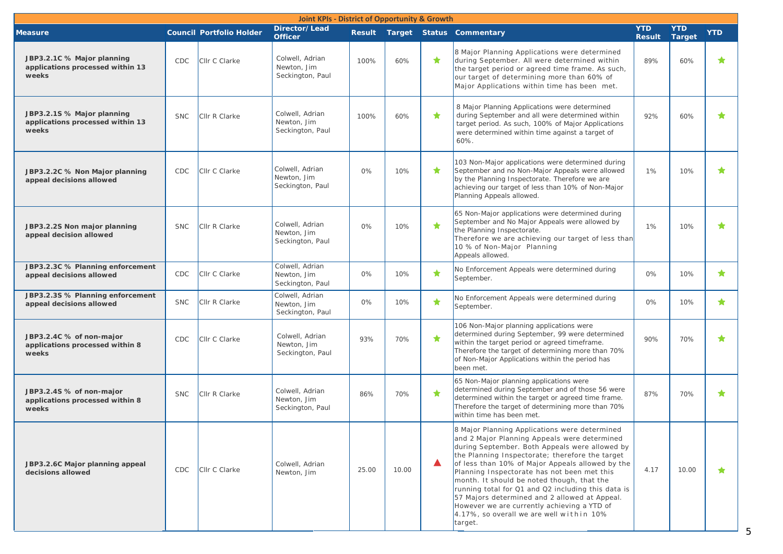|                                                                         | <b>Joint KPIs - District of Opportunity &amp; Growth</b> |                                 |                                                    |       |       |   |                                                                                                                                                                                                                                                                                                                                                                                                                                                                                                                                                                  |                             |                             |            |  |
|-------------------------------------------------------------------------|----------------------------------------------------------|---------------------------------|----------------------------------------------------|-------|-------|---|------------------------------------------------------------------------------------------------------------------------------------------------------------------------------------------------------------------------------------------------------------------------------------------------------------------------------------------------------------------------------------------------------------------------------------------------------------------------------------------------------------------------------------------------------------------|-----------------------------|-----------------------------|------------|--|
| <b>Measure</b>                                                          |                                                          | <b>Council Portfolio Holder</b> | Director/Lead<br><b>Officer</b>                    |       |       |   | Result Target Status Commentary                                                                                                                                                                                                                                                                                                                                                                                                                                                                                                                                  | <b>YTD</b><br><b>Result</b> | <b>YTD</b><br><b>Target</b> | <b>YTD</b> |  |
| JBP3.2.1C % Major planning<br>applications processed within 13<br>weeks | CDC                                                      | Cllr C Clarke                   | Colwell, Adrian<br>Newton, Jim<br>Seckington, Paul | 100%  | 60%   | ★ | 8 Major Planning Applications were determined<br>during September. All were determined within<br>the target period or agreed time frame. As such,<br>our target of determining more than 60% of<br>Major Applications within time has been met.                                                                                                                                                                                                                                                                                                                  | 89%                         | 60%                         | ★          |  |
| JBP3.2.1S % Major planning<br>applications processed within 13<br>weeks | <b>SNC</b>                                               | Cllr R Clarke                   | Colwell, Adrian<br>Newton, Jim<br>Seckington, Paul | 100%  | 60%   | ★ | 8 Major Planning Applications were determined<br>during September and all were determined within<br>target period. As such, 100% of Major Applications<br>were determined within time against a target of<br>$60%$ .                                                                                                                                                                                                                                                                                                                                             | 92%                         | 60%                         | ★          |  |
| JBP3.2.2C % Non Major planning<br>appeal decisions allowed              | CDC                                                      | Cllr C Clarke                   | Colwell, Adrian<br>Newton, Jim<br>Seckington, Paul | 0%    | 10%   | ★ | 103 Non-Major applications were determined during<br>September and no Non-Major Appeals were allowed<br>by the Planning Inspectorate. Therefore we are<br>achieving our target of less than 10% of Non-Major<br>Planning Appeals allowed.                                                                                                                                                                                                                                                                                                                        | 1%                          | 10%                         | ★          |  |
| JBP3.2.2S Non major planning<br>appeal decision allowed                 | <b>SNC</b>                                               | Cllr R Clarke                   | Colwell, Adrian<br>Newton, Jim<br>Seckington, Paul | 0%    | 10%   | ★ | 65 Non-Major applications were determined during<br>September and No Major Appeals were allowed by<br>the Planning Inspectorate.<br>Therefore we are achieving our target of less than<br>10 % of Non-Major Planning<br>Appeals allowed.                                                                                                                                                                                                                                                                                                                         | 1%                          | 10%                         | ★          |  |
| JBP3.2.3C % Planning enforcement<br>appeal decisions allowed            | CDC                                                      | Cllr C Clarke                   | Colwell, Adrian<br>Newton, Jim<br>Seckington, Paul | 0%    | 10%   | ★ | No Enforcement Appeals were determined during<br>September.                                                                                                                                                                                                                                                                                                                                                                                                                                                                                                      | 0%                          | 10%                         | ★          |  |
| JBP3.2.3S % Planning enforcement<br>appeal decisions allowed            | <b>SNC</b>                                               | Cllr R Clarke                   | Colwell, Adrian<br>Newton, Jim<br>Seckington, Paul | 0%    | 10%   | ★ | No Enforcement Appeals were determined during<br>September.                                                                                                                                                                                                                                                                                                                                                                                                                                                                                                      | 0%                          | 10%                         | $\star$    |  |
| JBP3.2.4C % of non-major<br>applications processed within 8<br>weeks    | CDC                                                      | Cllr C Clarke                   | Colwell, Adrian<br>Newton, Jim<br>Seckington, Paul | 93%   | 70%   | ★ | 106 Non-Major planning applications were<br>determined during September, 99 were determined<br>within the target period or agreed timeframe.<br>Therefore the target of determining more than 70%<br>of Non-Major Applications within the period has<br>been met.                                                                                                                                                                                                                                                                                                | 90%                         | 70%                         | ★          |  |
| JBP3.2.4S % of non-major<br>applications processed within 8<br>weeks    | <b>SNC</b>                                               | Cllr R Clarke                   | Colwell, Adrian<br>Newton, Jim<br>Seckington, Paul | 86%   | 70%   | ★ | 65 Non-Major planning applications were<br>determined during September and of those 56 were<br>determined within the target or agreed time frame.<br>Therefore the target of determining more than 70%<br>within time has been met.                                                                                                                                                                                                                                                                                                                              | 87%                         | 70%                         | ★          |  |
| JBP3.2.6C Major planning appeal<br>decisions allowed                    | CDC                                                      | Cllr C Clarke                   | Colwell, Adrian<br>Newton, Jim                     | 25.00 | 10.00 | Δ | 8 Major Planning Applications were determined<br>and 2 Major Planning Appeals were determined<br>during September. Both Appeals were allowed by<br>the Planning Inspectorate; therefore the target<br>of less than 10% of Major Appeals allowed by the<br>Planning Inspectorate has not been met this<br>month. It should be noted though, that the<br>running total for Q1 and Q2 including this data is<br>57 Majors determined and 2 allowed at Appeal.<br>However we are currently achieving a YTD of<br>4.17%, so overall we are well within 10%<br>target. | 4.17                        | 10.00                       | *          |  |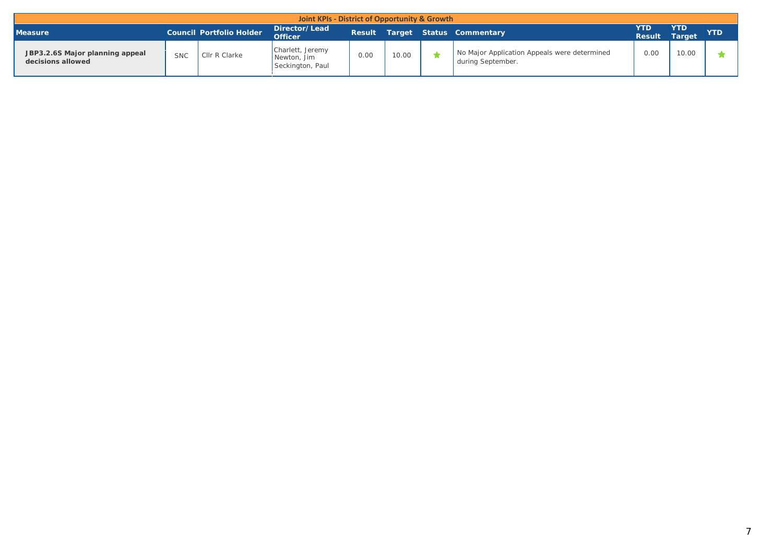| Joint KPIs - District of Opportunity & Growth        |            |                          |                                                     |      |       |  |                                                                   |                       |                      |            |  |
|------------------------------------------------------|------------|--------------------------|-----------------------------------------------------|------|-------|--|-------------------------------------------------------------------|-----------------------|----------------------|------------|--|
| <b>Measure</b>                                       |            | Council Portfolio Holder | Director/Lead<br><b>Officer</b>                     |      |       |  | Result Target Status Commentary                                   | 7TD.<br><b>Result</b> | <b>YTD</b><br>Target | <b>YTD</b> |  |
| JBP3.2.6S Major planning appeal<br>decisions allowed | <b>SNC</b> | Cllr R Clarke            | Charlett, Jeremy<br>Newton, Jim<br>Seckington, Paul | 0.00 | 10.00 |  | No Major Application Appeals were determined<br>during September. | 0.00                  | 10.00                |            |  |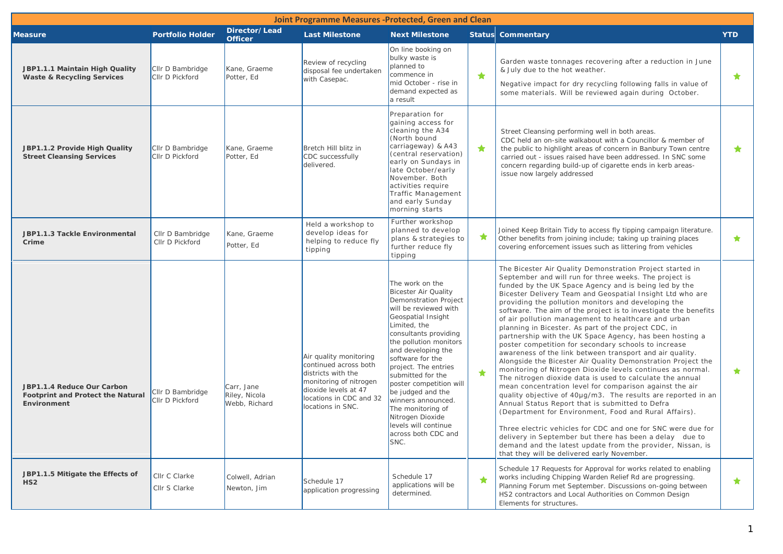| <b>Joint Programme Measures -Protected, Green and Clean</b>                           |                                     |                                              |                                                                                                                                                                         |                                                                                                                                                                                                                                                                                                                                                                                                                                                        |                        |                                                                                                                                                                                                                                                                                                                                                                                                                                                                                                                                                                                                                                                                                                                                                                                                                                                                                                                                                                                                                                                                                                                                                                                                                                                                                                                                              |            |  |  |
|---------------------------------------------------------------------------------------|-------------------------------------|----------------------------------------------|-------------------------------------------------------------------------------------------------------------------------------------------------------------------------|--------------------------------------------------------------------------------------------------------------------------------------------------------------------------------------------------------------------------------------------------------------------------------------------------------------------------------------------------------------------------------------------------------------------------------------------------------|------------------------|----------------------------------------------------------------------------------------------------------------------------------------------------------------------------------------------------------------------------------------------------------------------------------------------------------------------------------------------------------------------------------------------------------------------------------------------------------------------------------------------------------------------------------------------------------------------------------------------------------------------------------------------------------------------------------------------------------------------------------------------------------------------------------------------------------------------------------------------------------------------------------------------------------------------------------------------------------------------------------------------------------------------------------------------------------------------------------------------------------------------------------------------------------------------------------------------------------------------------------------------------------------------------------------------------------------------------------------------|------------|--|--|
| <b>Measure</b>                                                                        | <b>Portfolio Holder</b>             | Director/Lead<br><b>Officer</b>              | <b>Last Milestone</b>                                                                                                                                                   | <b>Next Milestone</b>                                                                                                                                                                                                                                                                                                                                                                                                                                  |                        | <b>Status Commentary</b>                                                                                                                                                                                                                                                                                                                                                                                                                                                                                                                                                                                                                                                                                                                                                                                                                                                                                                                                                                                                                                                                                                                                                                                                                                                                                                                     | <b>YTD</b> |  |  |
| JBP1.1.1 Maintain High Quality<br><b>Waste &amp; Recycling Services</b>               | CIIr D Bambridge<br>CIIr D Pickford | Kane, Graeme<br>Potter, Ed                   | Review of recycling<br>disposal fee undertaken<br>with Casepac.                                                                                                         | On line booking on<br>bulky waste is<br>planned to<br>commence in<br>mid October - rise in<br>demand expected as<br>a result                                                                                                                                                                                                                                                                                                                           | $\color{red} \bigstar$ | Garden waste tonnages recovering after a reduction in June<br>& July due to the hot weather.<br>Negative impact for dry recycling following falls in value of<br>some materials. Will be reviewed again during October.                                                                                                                                                                                                                                                                                                                                                                                                                                                                                                                                                                                                                                                                                                                                                                                                                                                                                                                                                                                                                                                                                                                      | ★          |  |  |
| JBP1.1.2 Provide High Quality<br><b>Street Cleansing Services</b>                     | CIIr D Bambridge<br>CIIr D Pickford | Kane, Graeme<br>Potter, Ed                   | Bretch Hill blitz in<br>CDC successfully<br>delivered.                                                                                                                  | Preparation for<br>gaining access for<br>cleaning the A34<br>(North bound<br>carriageway) & A43<br>(central reservation)<br>early on Sundays in<br>late October/early<br>November. Both<br>activities require<br><b>Traffic Management</b><br>and early Sunday<br>morning starts                                                                                                                                                                       | $\bigstar$             | Street Cleansing performing well in both areas.<br>CDC held an on-site walkabout with a Councillor & member of<br>the public to highlight areas of concern in Banbury Town centre<br>carried out - issues raised have been addressed. In SNC some<br>concern regarding build-up of cigarette ends in kerb areas-<br>issue now largely addressed                                                                                                                                                                                                                                                                                                                                                                                                                                                                                                                                                                                                                                                                                                                                                                                                                                                                                                                                                                                              | ★          |  |  |
| JBP1.1.3 Tackle Environmental<br>Crime                                                | Cllr D Bambridge<br>Cllr D Pickford | Kane, Graeme<br>Potter, Ed                   | Held a workshop to<br>develop ideas for<br>helping to reduce fly<br>tipping                                                                                             | Further workshop<br>planned to develop<br>plans & strategies to<br>further reduce fly<br>tipping                                                                                                                                                                                                                                                                                                                                                       | ★                      | Joined Keep Britain Tidy to access fly tipping campaign literature.<br>Other benefits from joining include; taking up training places<br>covering enforcement issues such as littering from vehicles                                                                                                                                                                                                                                                                                                                                                                                                                                                                                                                                                                                                                                                                                                                                                                                                                                                                                                                                                                                                                                                                                                                                         | ★          |  |  |
| JBP1.1.4 Reduce Our Carbon<br><b>Footprint and Protect the Natural</b><br>Environment | CIIr D Bambridge<br>CIIr D Pickford | Carr, Jane<br>Riley, Nicola<br>Webb, Richard | Air quality monitoring<br>continued across both<br>districts with the<br>monitoring of nitrogen<br>dioxide levels at 47<br>locations in CDC and 32<br>locations in SNC. | The work on the<br>Bicester Air Quality<br><b>Demonstration Project</b><br>will be reviewed with<br>Geospatial Insight<br>Limited, the<br>consultants providing<br>the pollution monitors<br>and developing the<br>software for the<br>project. The entries<br>submitted for the<br>poster competition will<br>be judged and the<br>winners announced.<br>The monitoring of<br>Nitrogen Dioxide<br>levels will continue<br>across both CDC and<br>SNC. | ★                      | The Bicester Air Quality Demonstration Project started in<br>September and will run for three weeks. The project is<br>funded by the UK Space Agency and is being led by the<br>Bicester Delivery Team and Geospatial Insight Ltd who are<br>providing the pollution monitors and developing the<br>software. The aim of the project is to investigate the benefits<br>of air pollution management to healthcare and urban<br>planning in Bicester. As part of the project CDC, in<br>partnership with the UK Space Agency, has been hosting a<br>poster competition for secondary schools to increase<br>awareness of the link between transport and air quality.<br>Alongside the Bicester Air Quality Demonstration Project the<br>monitoring of Nitrogen Dioxide levels continues as normal.<br>The nitrogen dioxide data is used to calculate the annual<br>mean concentration level for comparison against the air<br>quality objective of 40µg/m3. The results are reported in an<br>Annual Status Report that is submitted to Defra<br>(Department for Environment, Food and Rural Affairs).<br>Three electric vehicles for CDC and one for SNC were due for<br>delivery in September but there has been a delay due to<br>demand and the latest update from the provider, Nissan, is<br>that they will be delivered early November. | ★          |  |  |
| JBP1.1.5 Mitigate the Effects of<br>HS2                                               | Cllr C Clarke<br>Cllr S Clarke      | Colwell, Adrian<br>Newton, Jim               | Schedule 17<br>application progressing                                                                                                                                  | Schedule 17<br>applications will be<br>determined.                                                                                                                                                                                                                                                                                                                                                                                                     | ★                      | Schedule 17 Requests for Approval for works related to enabling<br>works including Chipping Warden Relief Rd are progressing.<br>Planning Forum met September. Discussions on-going between<br>HS2 contractors and Local Authorities on Common Design<br>Elements for structures.                                                                                                                                                                                                                                                                                                                                                                                                                                                                                                                                                                                                                                                                                                                                                                                                                                                                                                                                                                                                                                                            | ★          |  |  |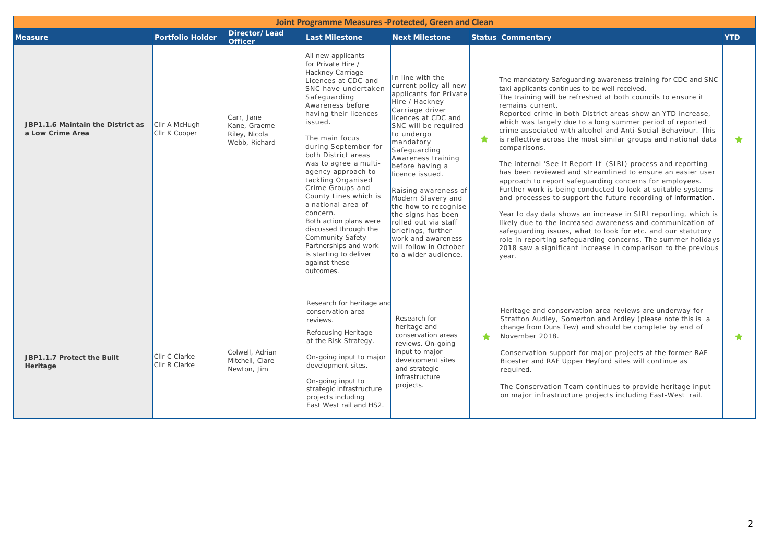| Joint Programme Measures -Protected, Green and Clean  |                                |                                                              |                                                                                                                                                                                                                                                                                                                                                                                                                                                                                                                                                                 |                                                                                                                                                                                                                                                                                                                                                                                                                                                                                   |           |                                                                                                                                                                                                                                                                                                                                                                                                                                                                                                                                                                                                                                                                                                                                                                                                                                                                                                                                                                                                                                                                                                                                                       |            |  |  |  |
|-------------------------------------------------------|--------------------------------|--------------------------------------------------------------|-----------------------------------------------------------------------------------------------------------------------------------------------------------------------------------------------------------------------------------------------------------------------------------------------------------------------------------------------------------------------------------------------------------------------------------------------------------------------------------------------------------------------------------------------------------------|-----------------------------------------------------------------------------------------------------------------------------------------------------------------------------------------------------------------------------------------------------------------------------------------------------------------------------------------------------------------------------------------------------------------------------------------------------------------------------------|-----------|-------------------------------------------------------------------------------------------------------------------------------------------------------------------------------------------------------------------------------------------------------------------------------------------------------------------------------------------------------------------------------------------------------------------------------------------------------------------------------------------------------------------------------------------------------------------------------------------------------------------------------------------------------------------------------------------------------------------------------------------------------------------------------------------------------------------------------------------------------------------------------------------------------------------------------------------------------------------------------------------------------------------------------------------------------------------------------------------------------------------------------------------------------|------------|--|--|--|
| <b>Measure</b>                                        | <b>Portfolio Holder</b>        | Director/Lead<br><b>Officer</b>                              | <b>Last Milestone</b>                                                                                                                                                                                                                                                                                                                                                                                                                                                                                                                                           | <b>Next Milestone</b>                                                                                                                                                                                                                                                                                                                                                                                                                                                             |           | <b>Status Commentary</b>                                                                                                                                                                                                                                                                                                                                                                                                                                                                                                                                                                                                                                                                                                                                                                                                                                                                                                                                                                                                                                                                                                                              | <b>YTD</b> |  |  |  |
| JBP1.1.6 Maintain the District as<br>a Low Crime Area | Cllr A McHugh<br>Cllr K Cooper | Carr, Jane<br>Kane, Graeme<br>Riley, Nicola<br>Webb, Richard | All new applicants<br>for Private Hire /<br>Hackney Carriage<br>Licences at CDC and<br>SNC have undertaken<br>Safeguarding<br>Awareness before<br>having their licences<br>issued.<br>The main focus<br>during September for<br>both District areas<br>was to agree a multi-<br>agency approach to<br>tackling Organised<br>Crime Groups and<br>County Lines which is<br>a national area of<br>concern.<br>Both action plans were<br>discussed through the<br>Community Safety<br>Partnerships and work<br>is starting to deliver<br>against these<br>outcomes. | In line with the<br>current policy all new<br>applicants for Private<br>Hire / Hackney<br>Carriage driver<br>licences at CDC and<br>SNC will be required<br>to undergo<br>mandatory<br>Safeguarding<br>Awareness training<br>before having a<br>licence issued.<br>Raising awareness of<br>Modern Slavery and<br>the how to recognise<br>the signs has been<br>rolled out via staff<br>briefings, further<br>work and awareness<br>will follow in October<br>to a wider audience. | ★         | The mandatory Safeguarding awareness training for CDC and SNC<br>taxi applicants continues to be well received.<br>The training will be refreshed at both councils to ensure it<br>remains current.<br>Reported crime in both District areas show an YTD increase,<br>which was largely due to a long summer period of reported<br>crime associated with alcohol and Anti-Social Behaviour. This<br>is reflective across the most similar groups and national data<br>comparisons.<br>The internal 'See It Report It' (SIRI) process and reporting<br>has been reviewed and streamlined to ensure an easier user<br>approach to report safeguarding concerns for employees.<br>Further work is being conducted to look at suitable systems<br>and processes to support the future recording of information.<br>Year to day data shows an increase in SIRI reporting, which is<br>likely due to the increased awareness and communication of<br>safeguarding issues, what to look for etc. and our statutory<br>role in reporting safeguarding concerns. The summer holidays<br>2018 saw a significant increase in comparison to the previous<br>year. | $\star$    |  |  |  |
| JBP1.1.7 Protect the Built<br>Heritage                | Cllr C Clarke<br>Cllr R Clarke | Colwell, Adrian<br>Mitchell, Clare<br>Newton, Jim            | Research for heritage and<br>conservation area<br>reviews.<br>Refocusing Heritage<br>at the Risk Strategy.<br>On-going input to major<br>development sites.<br>On-going input to<br>strategic infrastructure<br>projects including<br>East West rail and HS2.                                                                                                                                                                                                                                                                                                   | Research for<br>heritage and<br>conservation areas<br>reviews. On-going<br>input to major<br>development sites<br>and strategic<br>infrastructure<br>projects.                                                                                                                                                                                                                                                                                                                    | $\bullet$ | Heritage and conservation area reviews are underway for<br>Stratton Audley, Somerton and Ardley (please note this is a<br>change from Duns Tew) and should be complete by end of<br>November 2018.<br>Conservation support for major projects at the former RAF<br>Bicester and RAF Upper Heyford sites will continue as<br>required.<br>The Conservation Team continues to provide heritage input<br>on major infrastructure projects including East-West rail.                                                                                                                                                                                                                                                                                                                                                                                                                                                                                                                                                                                                                                                                                      | $\bigstar$ |  |  |  |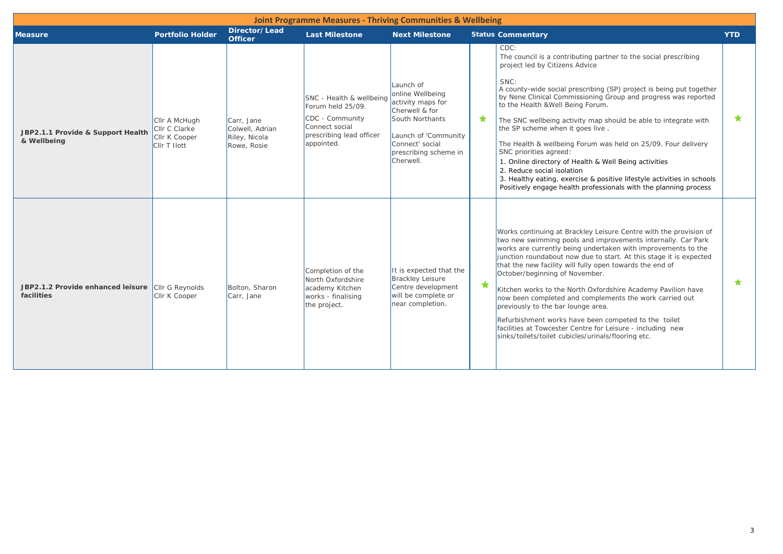|                                                                 |                                                                               |                                                               | <b>Joint Programme Measures - Thriving Communities &amp; Wellbeing</b>                                                       |                                                                                                                                                                          |         |                                                                                                                                                                                                                                                                                                                                                                                                                                                                                                                                                                                                                                                                                                                                        |            |
|-----------------------------------------------------------------|-------------------------------------------------------------------------------|---------------------------------------------------------------|------------------------------------------------------------------------------------------------------------------------------|--------------------------------------------------------------------------------------------------------------------------------------------------------------------------|---------|----------------------------------------------------------------------------------------------------------------------------------------------------------------------------------------------------------------------------------------------------------------------------------------------------------------------------------------------------------------------------------------------------------------------------------------------------------------------------------------------------------------------------------------------------------------------------------------------------------------------------------------------------------------------------------------------------------------------------------------|------------|
| <b>Measure</b>                                                  | <b>Portfolio Holder</b>                                                       | Director/Lead<br><b>Officer</b>                               | <b>Last Milestone</b>                                                                                                        | <b>Next Milestone</b>                                                                                                                                                    |         | <b>Status Commentary</b>                                                                                                                                                                                                                                                                                                                                                                                                                                                                                                                                                                                                                                                                                                               | <b>YTD</b> |
| JBP2.1.1 Provide & Support Health<br>& Wellbeing                | Cllr A McHugh<br><b>Clir C Clarke</b><br>Cllr K Cooper<br><b>CIIr T Ilott</b> | Carr, Jane<br>Colwell, Adrian<br>Riley, Nicola<br>Rowe, Rosie | SNC - Health & wellbeing<br>Forum held 25/09.<br>CDC - Community<br>Connect social<br>prescribing lead officer<br>appointed. | Launch of<br>online Wellbeing<br>activity maps for<br>Cherwell & for<br>South Northants<br>Launch of 'Community<br>Connect' social<br>prescribing scheme in<br>Cherwell. | ★.      | CDC:<br>The council is a contributing partner to the social prescribing<br>project led by Citizens Advice<br>SNC:<br>A county-wide social prescribing (SP) project is being put together<br>by Nene Clinical Commissioning Group and progress was reported<br>to the Health & Well Being Forum.<br>The SNC wellbeing activity map should be able to integrate with<br>the SP scheme when it goes live.<br>The Health & wellbeing Forum was held on 25/09. Four delivery<br>SNC priorities agreed:<br>1. Online directory of Health & Well Being activities<br>2. Reduce social isolation<br>3. Healthy eating, exercise & positive lifestyle activities in schools<br>Positively engage health professionals with the planning process | ★          |
| JBP2.1.2 Provide enhanced leisure Cllr G Reynolds<br>facilities | Cllr K Cooper                                                                 | Bolton, Sharon<br>Carr, Jane                                  | Completion of the<br>North Oxfordshire<br>academy Kitchen<br>works - finalising<br>the project.                              | It is expected that the<br><b>Brackley Leisure</b><br>Centre development<br>will be complete or<br>near completion.                                                      | $\star$ | Works continuing at Brackley Leisure Centre with the provision of<br>two new swimming pools and improvements internally. Car Park<br>works are currently being undertaken with improvements to the<br>junction roundabout now due to start. At this stage it is expected<br>that the new facility will fully open towards the end of<br>October/beginning of November.<br>Kitchen works to the North Oxfordshire Academy Pavilion have<br>now been completed and complements the work carried out<br>previously to the bar lounge area.<br>Refurbishment works have been competed to the toilet<br>facilities at Towcester Centre for Leisure - including new<br>sinks/toilets/toilet cubicles/urinals/flooring etc.                   | ★          |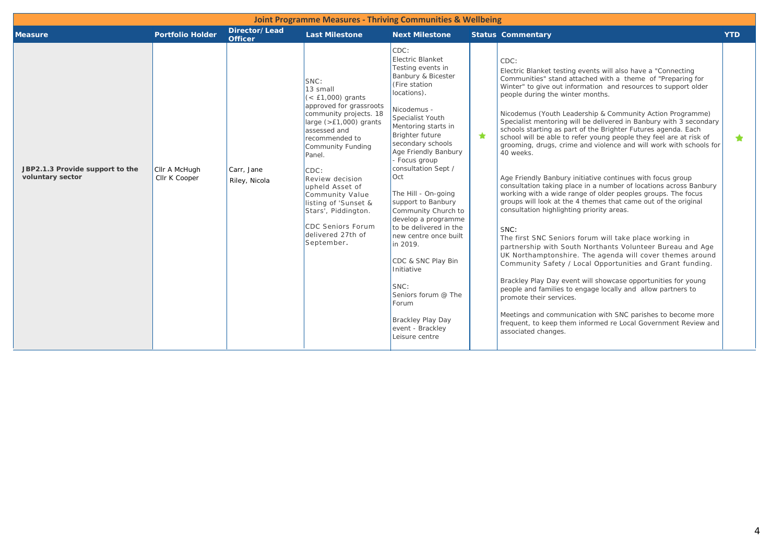| <b>Joint Programme Measures - Thriving Communities &amp; Wellbeing</b> |                                |                                 |                                                                                                                                                                                                                                                                                                                                                                   |                                                                                                                                                                                                                                                                                                                                                                                                                                                                                                                                                                               |         |                                                                                                                                                                                                                                                                                                                                                                                                                                                                                                                                                                                                                                                                                                                                                                                                                                                                                                                                                                                                                                                                                                                                                                                                                                                                                                                                                                                                                                                                                                     |            |  |  |  |
|------------------------------------------------------------------------|--------------------------------|---------------------------------|-------------------------------------------------------------------------------------------------------------------------------------------------------------------------------------------------------------------------------------------------------------------------------------------------------------------------------------------------------------------|-------------------------------------------------------------------------------------------------------------------------------------------------------------------------------------------------------------------------------------------------------------------------------------------------------------------------------------------------------------------------------------------------------------------------------------------------------------------------------------------------------------------------------------------------------------------------------|---------|-----------------------------------------------------------------------------------------------------------------------------------------------------------------------------------------------------------------------------------------------------------------------------------------------------------------------------------------------------------------------------------------------------------------------------------------------------------------------------------------------------------------------------------------------------------------------------------------------------------------------------------------------------------------------------------------------------------------------------------------------------------------------------------------------------------------------------------------------------------------------------------------------------------------------------------------------------------------------------------------------------------------------------------------------------------------------------------------------------------------------------------------------------------------------------------------------------------------------------------------------------------------------------------------------------------------------------------------------------------------------------------------------------------------------------------------------------------------------------------------------------|------------|--|--|--|
| <b>Measure</b>                                                         | <b>Portfolio Holder</b>        | Director/Lead<br><b>Officer</b> | <b>Last Milestone</b>                                                                                                                                                                                                                                                                                                                                             | <b>Next Milestone</b>                                                                                                                                                                                                                                                                                                                                                                                                                                                                                                                                                         |         | <b>Status Commentary</b>                                                                                                                                                                                                                                                                                                                                                                                                                                                                                                                                                                                                                                                                                                                                                                                                                                                                                                                                                                                                                                                                                                                                                                                                                                                                                                                                                                                                                                                                            | <b>YTD</b> |  |  |  |
| JBP2.1.3 Provide support to the<br>voluntary sector                    | CIIr A McHugh<br>CIIr K Cooper | Carr, Jane<br>Riley, Nicola     | SNC:<br>$13$ small<br>$(E1,000) grants$<br>approved for grassroots<br>community projects. 18<br>large $(>=1,000)$ grants<br>assessed and<br>recommended to<br>Community Funding<br>Panel.<br>CDC:<br>Review decision<br>upheld Asset of<br>Community Value<br>listing of 'Sunset &<br>Stars', Piddington.<br>CDC Seniors Forum<br>delivered 27th of<br>September. | CDC:<br>Electric Blanket<br>Testing events in<br>Banbury & Bicester<br>(Fire station<br>locations).<br>Nicodemus -<br>Specialist Youth<br>Mentoring starts in<br>Brighter future<br>secondary schools<br>Age Friendly Banbury<br>- Focus group<br>consultation Sept /<br>Oct<br>The Hill - On-going<br>support to Banbury<br>Community Church to<br>develop a programme<br>to be delivered in the<br>new centre once built<br>in 2019.<br>CDC & SNC Play Bin<br>Initiative<br>SNC:<br>Seniors forum @ The<br>Forum<br>Brackley Play Day<br>event - Brackley<br>Leisure centre | $\star$ | CDC:<br>Electric Blanket testing events will also have a "Connecting"<br>Communities" stand attached with a theme of "Preparing for<br>Winter" to give out information and resources to support older<br>people during the winter months.<br>Nicodemus (Youth Leadership & Community Action Programme)<br>Specialist mentoring will be delivered in Banbury with 3 secondary<br>schools starting as part of the Brighter Futures agenda. Each<br>school will be able to refer young people they feel are at risk of<br>grooming, drugs, crime and violence and will work with schools for<br>40 weeks.<br>Age Friendly Banbury initiative continues with focus group<br>consultation taking place in a number of locations across Banbury<br>working with a wide range of older peoples groups. The focus<br>groups will look at the 4 themes that came out of the original<br>consultation highlighting priority areas.<br>SNC:<br>The first SNC Seniors forum will take place working in<br>partnership with South Northants Volunteer Bureau and Age<br>UK Northamptonshire. The agenda will cover themes around<br>Community Safety / Local Opportunities and Grant funding.<br>Brackley Play Day event will showcase opportunities for young<br>people and families to engage locally and allow partners to<br>promote their services.<br>Meetings and communication with SNC parishes to become more<br>frequent, to keep them informed re Local Government Review and<br>associated changes. | ★          |  |  |  |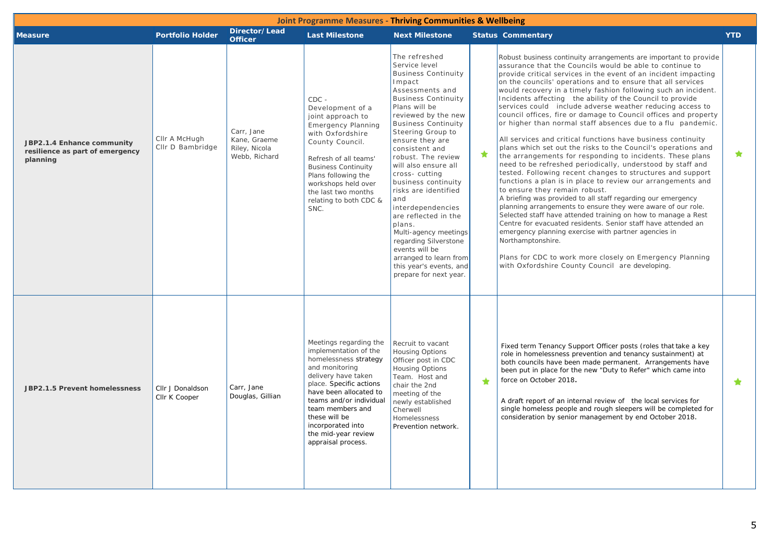| <b>Joint Programme Measures - Thriving Communities &amp; Wellbeing</b>    |                                   |                                                              |                                                                                                                                                                                                                                                                                                          |                                                                                                                                                                                                                                                                                                                                                                                                                                                                                                                                                                                        |   |                                                                                                                                                                                                                                                                                                                                                                                                                                                                                                                                                                                                                                                                                                                                                                                                                                                                                                                                                                                                                                                                                                                                                                                                                                                                                                                                                                                                                                                                                      |            |  |
|---------------------------------------------------------------------------|-----------------------------------|--------------------------------------------------------------|----------------------------------------------------------------------------------------------------------------------------------------------------------------------------------------------------------------------------------------------------------------------------------------------------------|----------------------------------------------------------------------------------------------------------------------------------------------------------------------------------------------------------------------------------------------------------------------------------------------------------------------------------------------------------------------------------------------------------------------------------------------------------------------------------------------------------------------------------------------------------------------------------------|---|--------------------------------------------------------------------------------------------------------------------------------------------------------------------------------------------------------------------------------------------------------------------------------------------------------------------------------------------------------------------------------------------------------------------------------------------------------------------------------------------------------------------------------------------------------------------------------------------------------------------------------------------------------------------------------------------------------------------------------------------------------------------------------------------------------------------------------------------------------------------------------------------------------------------------------------------------------------------------------------------------------------------------------------------------------------------------------------------------------------------------------------------------------------------------------------------------------------------------------------------------------------------------------------------------------------------------------------------------------------------------------------------------------------------------------------------------------------------------------------|------------|--|
| <b>Measure</b>                                                            | <b>Portfolio Holder</b>           | Director/Lead<br><b>Officer</b>                              | <b>Last Milestone</b>                                                                                                                                                                                                                                                                                    | <b>Next Milestone</b>                                                                                                                                                                                                                                                                                                                                                                                                                                                                                                                                                                  |   | <b>Status Commentary</b>                                                                                                                                                                                                                                                                                                                                                                                                                                                                                                                                                                                                                                                                                                                                                                                                                                                                                                                                                                                                                                                                                                                                                                                                                                                                                                                                                                                                                                                             | <b>YTD</b> |  |
| JBP2.1.4 Enhance community<br>resilience as part of emergency<br>planning | CIIr A McHugh<br>CIIr D Bambridge | Carr, Jane<br>Kane, Graeme<br>Riley, Nicola<br>Webb, Richard | $CDC -$<br>Development of a<br>joint approach to<br><b>Emergency Planning</b><br>with Oxfordshire<br>County Council.<br>Refresh of all teams'<br><b>Business Continuity</b><br>Plans following the<br>workshops held over<br>the last two months<br>relating to both CDC &<br>SNC.                       | The refreshed<br>Service level<br><b>Business Continuity</b><br>Impact<br>Assessments and<br><b>Business Continuity</b><br>Plans will be<br>reviewed by the new<br><b>Business Continuity</b><br>Steering Group to<br>ensure they are<br>consistent and<br>robust. The review<br>will also ensure all<br>cross-cutting<br>business continuity<br>risks are identified<br>and<br>interdependencies<br>are reflected in the<br>plans.<br>Multi-agency meetings<br>regarding Silverstone<br>events will be<br>arranged to learn from<br>this year's events, and<br>prepare for next year. | ★ | Robust business continuity arrangements are important to provide<br>assurance that the Councils would be able to continue to<br>provide critical services in the event of an incident impacting<br>on the councils' operations and to ensure that all services<br>would recovery in a timely fashion following such an incident.<br>Incidents affecting the ability of the Council to provide<br>services could include adverse weather reducing access to<br>council offices, fire or damage to Council offices and property<br>or higher than normal staff absences due to a flu pandemic.<br>All services and critical functions have business continuity<br>plans which set out the risks to the Council's operations and<br>the arrangements for responding to incidents. These plans<br>need to be refreshed periodically, understood by staff and<br>tested. Following recent changes to structures and support<br>functions a plan is in place to review our arrangements and<br>to ensure they remain robust.<br>A briefing was provided to all staff regarding our emergency<br>planning arrangements to ensure they were aware of our role.<br>Selected staff have attended training on how to manage a Rest<br>Centre for evacuated residents. Senior staff have attended an<br>emergency planning exercise with partner agencies in<br>Northamptonshire.<br>Plans for CDC to work more closely on Emergency Planning<br>with Oxfordshire County Council are developing. | $\bigstar$ |  |
| JBP2.1.5 Prevent homelessness                                             | CIIr J Donaldson<br>CIIr K Cooper | Carr, Jane<br>Douglas, Gillian                               | Meetings regarding the<br>implementation of the<br>homelessness strategy<br>and monitoring<br>delivery have taken<br>place. Specific actions<br>have been allocated to<br>teams and/or individual<br>team members and<br>these will be<br>incorporated into<br>the mid-year review<br>appraisal process. | Recruit to vacant<br><b>Housing Options</b><br>Officer post in CDC<br>Housing Options<br>Team. Host and<br>chair the 2nd<br>meeting of the<br>newly established<br>Cherwell<br>Homelessness<br>Prevention network.                                                                                                                                                                                                                                                                                                                                                                     | ÷ | Fixed term Tenancy Support Officer posts (roles that take a key<br>role in homelessness prevention and tenancy sustainment) at<br>both councils have been made permanent. Arrangements have<br>been put in place for the new "Duty to Refer" which came into<br>force on October 2018.<br>A draft report of an internal review of the local services for<br>single homeless people and rough sleepers will be completed for<br>consideration by senior management by end October 2018.                                                                                                                                                                                                                                                                                                                                                                                                                                                                                                                                                                                                                                                                                                                                                                                                                                                                                                                                                                                               | $\star$    |  |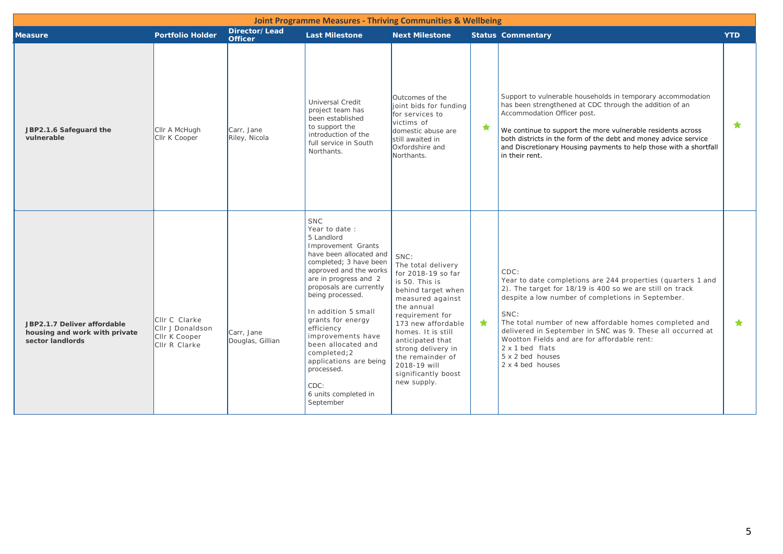| <b>Joint Programme Measures - Thriving Communities &amp; Wellbeing</b>           |                                                                     |                                 |                                                                                                                                                                                                                                                                                                                                                                                                                                  |                                                                                                                                                                                                                                                                                                               |   |                                                                                                                                                                                                                                                                                                                                                                                                                                       |            |  |
|----------------------------------------------------------------------------------|---------------------------------------------------------------------|---------------------------------|----------------------------------------------------------------------------------------------------------------------------------------------------------------------------------------------------------------------------------------------------------------------------------------------------------------------------------------------------------------------------------------------------------------------------------|---------------------------------------------------------------------------------------------------------------------------------------------------------------------------------------------------------------------------------------------------------------------------------------------------------------|---|---------------------------------------------------------------------------------------------------------------------------------------------------------------------------------------------------------------------------------------------------------------------------------------------------------------------------------------------------------------------------------------------------------------------------------------|------------|--|
| <b>Measure</b>                                                                   | <b>Portfolio Holder</b>                                             | Director/Lead<br><b>Officer</b> | <b>Last Milestone</b>                                                                                                                                                                                                                                                                                                                                                                                                            | <b>Next Milestone</b>                                                                                                                                                                                                                                                                                         |   | <b>Status Commentary</b>                                                                                                                                                                                                                                                                                                                                                                                                              | <b>YTD</b> |  |
| JBP2.1.6 Safeguard the<br>vulnerable                                             | Cllr A McHugh<br>Cllr K Cooper                                      | Carr, Jane<br>Riley, Nicola     | Universal Credit<br>project team has<br>been established<br>to support the<br>introduction of the<br>full service in South<br>Northants.                                                                                                                                                                                                                                                                                         | Outcomes of the<br>joint bids for funding<br>for services to<br>victims of<br>domestic abuse are<br>still awaited in<br>Oxfordshire and<br>Northants.                                                                                                                                                         | 大 | Support to vulnerable households in temporary accommodation<br>has been strengthened at CDC through the addition of an<br>Accommodation Officer post.<br>We continue to support the more vulnerable residents across<br>both districts in the form of the debt and money advice service<br>and Discretionary Housing payments to help those with a shortfall<br>in their rent.                                                        | ★          |  |
| JBP2.1.7 Deliver affordable<br>housing and work with private<br>sector landlords | CIIr C Clarke<br>CIIr J Donaldson<br>CIIr K Cooper<br>CIIr R Clarke | Carr, Jane<br>Douglas, Gillian  | <b>SNC</b><br>Year to date :<br>5 Landlord<br>Improvement Grants<br>have been allocated and<br>completed; 3 have been<br>approved and the works<br>are in progress and 2<br>proposals are currently<br>being processed.<br>In addition 5 small<br>grants for energy<br>efficiency<br>improvements have<br>been allocated and<br>completed;2<br>applications are being<br>processed.<br>CDC:<br>6 units completed in<br>September | SNC:<br>The total delivery<br>for 2018-19 so far<br>is 50. This is<br>behind target when<br>measured against<br>the annual<br>requirement for<br>173 new affordable<br>homes. It is still<br>anticipated that<br>strong delivery in<br>the remainder of<br>2018-19 will<br>significantly boost<br>new supply. | ★ | CDC:<br>Year to date completions are 244 properties (quarters 1 and<br>2). The target for 18/19 is 400 so we are still on track<br>despite a low number of completions in September.<br>SNC:<br>The total number of new affordable homes completed and<br>delivered in September in SNC was 9. These all occurred at<br>Wootton Fields and are for affordable rent:<br>$2 \times 1$ bed flats<br>5 x 2 bed houses<br>2 x 4 bed houses | $\bigstar$ |  |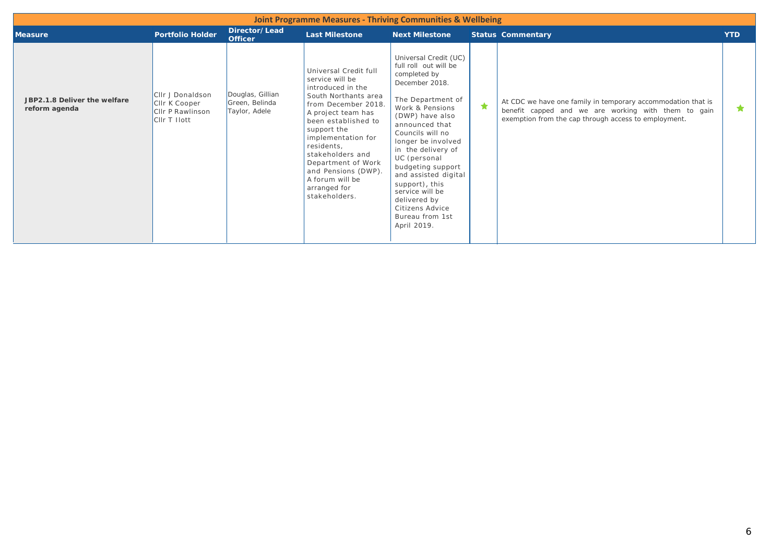|                                               |                                                                             |                                                     | <b>Joint Programme Measures - Thriving Communities &amp; Wellbeing</b>                                                                                                                                                                                                                                                            |                                                                                                                                                                                                                                                                                                                                                                                                      |            |                                                                                                                                                                             |            |
|-----------------------------------------------|-----------------------------------------------------------------------------|-----------------------------------------------------|-----------------------------------------------------------------------------------------------------------------------------------------------------------------------------------------------------------------------------------------------------------------------------------------------------------------------------------|------------------------------------------------------------------------------------------------------------------------------------------------------------------------------------------------------------------------------------------------------------------------------------------------------------------------------------------------------------------------------------------------------|------------|-----------------------------------------------------------------------------------------------------------------------------------------------------------------------------|------------|
| <b>Measure</b>                                | <b>Portfolio Holder</b>                                                     | Director/Lead<br><b>Officer</b>                     | <b>Last Milestone</b>                                                                                                                                                                                                                                                                                                             | <b>Next Milestone</b>                                                                                                                                                                                                                                                                                                                                                                                |            | <b>Status Commentary</b>                                                                                                                                                    | <b>YTD</b> |
| JBP2.1.8 Deliver the welfare<br>reform agenda | Cllr J Donaldson<br>CIIr K Cooper<br><b>CIIr P Rawlinson</b><br>CIIr T Hott | Douglas, Gillian<br>Green, Belinda<br>Taylor, Adele | Universal Credit full<br>service will be<br>introduced in the<br>South Northants area<br>from December 2018.<br>A project team has<br>been established to<br>support the<br>implementation for<br>residents,<br>stakeholders and<br>Department of Work<br>and Pensions (DWP).<br>A forum will be<br>arranged for<br>stakeholders. | Universal Credit (UC)<br>full roll out will be<br>completed by<br>December 2018.<br>The Department of<br>Work & Pensions<br>(DWP) have also<br>announced that<br>Councils will no<br>longer be involved<br>in the delivery of<br>UC (personal<br>budgeting support<br>and assisted digital<br>support), this<br>service will be<br>delivered by<br>Citizens Advice<br>Bureau from 1st<br>April 2019. | $\bigstar$ | At CDC we have one family in temporary accommodation that is<br>benefit capped and we are working with them to gain<br>exemption from the cap through access to employment. | *          |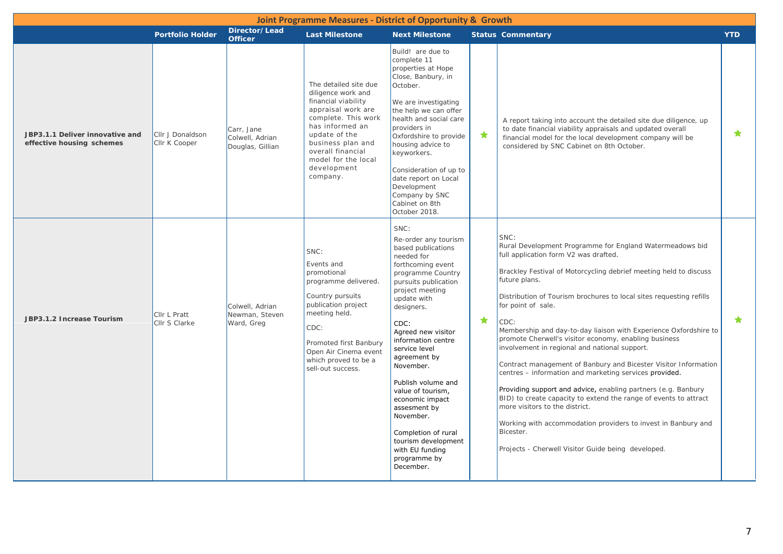| Joint Programme Measures - District of Opportunity & Growth  |                                   |                                                   |                                                                                                                                                                                                                                                 |                                                                                                                                                                                                                                                                                                                                                                                                                                                                               |   |                                                                                                                                                                                                                                                                                                                                                                                                                                                                                                                                                                                                                                                                                                                                                                                                                                                                                                                            |            |  |  |
|--------------------------------------------------------------|-----------------------------------|---------------------------------------------------|-------------------------------------------------------------------------------------------------------------------------------------------------------------------------------------------------------------------------------------------------|-------------------------------------------------------------------------------------------------------------------------------------------------------------------------------------------------------------------------------------------------------------------------------------------------------------------------------------------------------------------------------------------------------------------------------------------------------------------------------|---|----------------------------------------------------------------------------------------------------------------------------------------------------------------------------------------------------------------------------------------------------------------------------------------------------------------------------------------------------------------------------------------------------------------------------------------------------------------------------------------------------------------------------------------------------------------------------------------------------------------------------------------------------------------------------------------------------------------------------------------------------------------------------------------------------------------------------------------------------------------------------------------------------------------------------|------------|--|--|
|                                                              | <b>Portfolio Holder</b>           | Director/Lead<br><b>Officer</b>                   | <b>Last Milestone</b>                                                                                                                                                                                                                           | <b>Next Milestone</b>                                                                                                                                                                                                                                                                                                                                                                                                                                                         |   | <b>Status Commentary</b>                                                                                                                                                                                                                                                                                                                                                                                                                                                                                                                                                                                                                                                                                                                                                                                                                                                                                                   | <b>YTD</b> |  |  |
| JBP3.1.1 Deliver innovative and<br>effective housing schemes | Cllr J Donaldson<br>Cllr K Cooper | Carr, Jane<br>Colwell, Adrian<br>Douglas, Gillian | The detailed site due<br>diligence work and<br>financial viability<br>appraisal work are<br>complete. This work<br>has informed an<br>update of the<br>business plan and<br>overall financial<br>model for the local<br>development<br>company. | Build! are due to<br>complete 11<br>properties at Hope<br>Close, Banbury, in<br>October.<br>We are investigating<br>the help we can offer<br>health and social care<br>providers in<br>Oxfordshire to provide<br>housing advice to<br>keyworkers.<br>Consideration of up to<br>date report on Local<br>Development<br>Company by SNC<br>Cabinet on 8th<br>October 2018.                                                                                                       | ★ | A report taking into account the detailed site due diligence, up<br>to date financial viability appraisals and updated overall<br>financial model for the local development company will be<br>considered by SNC Cabinet on 8th October.                                                                                                                                                                                                                                                                                                                                                                                                                                                                                                                                                                                                                                                                                   | $\bigstar$ |  |  |
| JBP3.1.2 Increase Tourism                                    | Cllr L Pratt<br>Cllr S Clarke     | Colwell, Adrian<br>Newman, Steven<br>Ward, Greg   | SNC:<br>Events and<br>promotional<br>programme delivered.<br>Country pursuits<br>publication project<br>meeting held.<br>CDC:<br>Promoted first Banbury<br>Open Air Cinema event<br>which proved to be a<br>sell-out success.                   | SNC:<br>Re-order any tourism<br>based publications<br>needed for<br>forthcoming event<br>programme Country<br>pursuits publication<br>project meeting<br>update with<br>designers.<br>CDC:<br>Agreed new visitor<br>information centre<br>service level<br>agreement by<br>November.<br>Publish volume and<br>value of tourism,<br>economic impact<br>assesment by<br>November.<br>Completion of rural<br>tourism development<br>with EU funding<br>programme by<br>December. | ★ | SNC:<br>Rural Development Programme for England Watermeadows bid<br>full application form V2 was drafted.<br>Brackley Festival of Motorcycling debrief meeting held to discuss<br>future plans.<br>Distribution of Tourism brochures to local sites requesting refills<br>for point of sale.<br>CDC:<br>Membership and day-to-day liaison with Experience Oxfordshire to<br>promote Cherwell's visitor economy, enabling business<br>involvement in regional and national support.<br>Contract management of Banbury and Bicester Visitor Information<br>centres - information and marketing services provided.<br>Providing support and advice, enabling partners (e.g. Banbury<br>BID) to create capacity to extend the range of events to attract<br>more visitors to the district.<br>Working with accommodation providers to invest in Banbury and<br>Bicester.<br>Projects - Cherwell Visitor Guide being developed. | $\bigstar$ |  |  |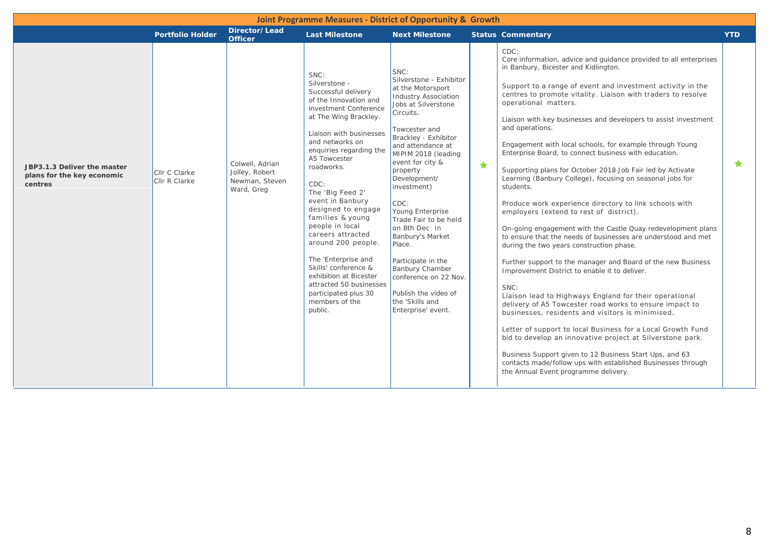| Joint Programme Measures - District of Opportunity & Growth          |                                |                                                                   |                                                                                                                                                                                                                                                                                                                                                                                                                                                                                                                                                 |                                                                                                                                                                                                                                                                                                                                                                                                                                                                                                                           |            |                                                                                                                                                                                                                                                                                                                                                                                                                                                                                                                                                                                                                                                                                                                                                                                                                                                                                                                                                                                                                                                                                                                                                                                                                                                                                                                                                                                                                                                                                                               |            |  |
|----------------------------------------------------------------------|--------------------------------|-------------------------------------------------------------------|-------------------------------------------------------------------------------------------------------------------------------------------------------------------------------------------------------------------------------------------------------------------------------------------------------------------------------------------------------------------------------------------------------------------------------------------------------------------------------------------------------------------------------------------------|---------------------------------------------------------------------------------------------------------------------------------------------------------------------------------------------------------------------------------------------------------------------------------------------------------------------------------------------------------------------------------------------------------------------------------------------------------------------------------------------------------------------------|------------|---------------------------------------------------------------------------------------------------------------------------------------------------------------------------------------------------------------------------------------------------------------------------------------------------------------------------------------------------------------------------------------------------------------------------------------------------------------------------------------------------------------------------------------------------------------------------------------------------------------------------------------------------------------------------------------------------------------------------------------------------------------------------------------------------------------------------------------------------------------------------------------------------------------------------------------------------------------------------------------------------------------------------------------------------------------------------------------------------------------------------------------------------------------------------------------------------------------------------------------------------------------------------------------------------------------------------------------------------------------------------------------------------------------------------------------------------------------------------------------------------------------|------------|--|
|                                                                      | <b>Portfolio Holder</b>        | Director/Lead<br><b>Officer</b>                                   | <b>Last Milestone</b>                                                                                                                                                                                                                                                                                                                                                                                                                                                                                                                           | <b>Next Milestone</b>                                                                                                                                                                                                                                                                                                                                                                                                                                                                                                     |            | <b>Status Commentary</b>                                                                                                                                                                                                                                                                                                                                                                                                                                                                                                                                                                                                                                                                                                                                                                                                                                                                                                                                                                                                                                                                                                                                                                                                                                                                                                                                                                                                                                                                                      | <b>YTD</b> |  |
| JBP3.1.3 Deliver the master<br>plans for the key economic<br>centres | Cllr C Clarke<br>Cllr R Clarke | Colwell, Adrian<br>Jolley, Robert<br>Newman, Steven<br>Ward, Greg | SNC:<br>Silverstone -<br>Successful delivery<br>of the Innovation and<br>investment Conference<br>at The Wing Brackley.<br>Liaison with businesses<br>and networks on<br>enquiries regarding the<br>A5 Towcester<br>roadworks.<br>CDC:<br>The 'Big Feed 2'<br>event in Banbury<br>designed to engage<br>families & young<br>people in local<br>careers attracted<br>around 200 people.<br>The 'Enterprise and<br>Skills' conference &<br>exhibition at Bicester<br>attracted 50 businesses<br>participated plus 30<br>members of the<br>public. | SNC:<br>Silverstone - Exhibitor<br>at the Motorsport<br><b>Industry Association</b><br>Jobs at Silverstone<br>Circuits.<br>Towcester and<br>Brackley - Exhibitor<br>and attendance at<br>MIPIM 2018 (leading<br>event for city &<br>property<br>Development/<br>investment)<br>CDC:<br>Young Enterprise<br>Trade Fair to be held<br>on 8th Dec in<br>Banbury's Market<br>Place.<br>Participate in the<br><b>Banbury Chamber</b><br>conference on 22 Nov.<br>Publish the video of<br>the 'Skills and<br>Enterprise' event. | $\bigstar$ | CDC:<br>Core information, advice and guidance provided to all enterprises<br>in Banbury, Bicester and Kidlington.<br>Support to a range of event and investment activity in the<br>centres to promote vitality. Liaison with traders to resolve<br>operational matters.<br>Liaison with key businesses and developers to assist investment<br>and operations.<br>Engagement with local schools, for example through Young<br>Enterprise Board, to connect business with education.<br>Supporting plans for October 2018 Job Fair led by Activate<br>Learning (Banbury College), focusing on seasonal jobs for<br>students.<br>Produce work experience directory to link schools with<br>employers (extend to rest of district).<br>On-going engagement with the Castle Quay redevelopment plans<br>to ensure that the needs of businesses are understood and met<br>during the two years construction phase.<br>Further support to the manager and Board of the new Business<br>Improvement District to enable it to deliver.<br>SNC:<br>Liaison lead to Highways England for their operational<br>delivery of A5 Towcester road works to ensure impact to<br>businesses, residents and visitors is minimised.<br>Letter of support to local Business for a Local Growth Fund<br>bid to develop an innovative project at Silverstone park.<br>Business Support given to 12 Business Start Ups, and 63<br>contacts made/follow ups with established Businesses through<br>the Annual Event programme delivery. | $\bigstar$ |  |
|                                                                      |                                |                                                                   |                                                                                                                                                                                                                                                                                                                                                                                                                                                                                                                                                 |                                                                                                                                                                                                                                                                                                                                                                                                                                                                                                                           |            |                                                                                                                                                                                                                                                                                                                                                                                                                                                                                                                                                                                                                                                                                                                                                                                                                                                                                                                                                                                                                                                                                                                                                                                                                                                                                                                                                                                                                                                                                                               |            |  |